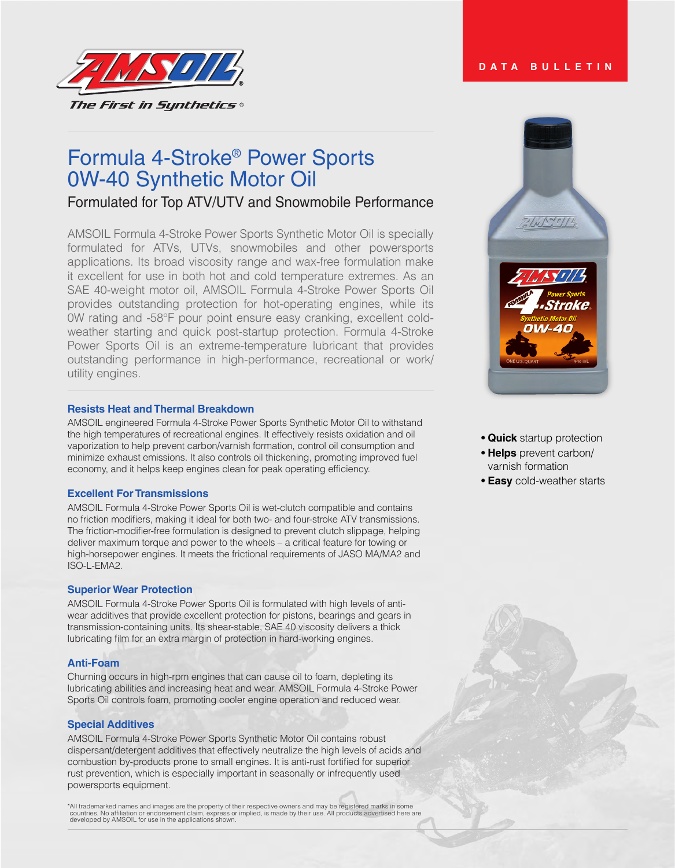

# Formula 4-Stroke® Power Sports 0W-40 Synthetic Motor Oil

Formulated for Top ATV/UTV and Snowmobile Performance

AMSOIL Formula 4-Stroke Power Sports Synthetic Motor Oil is specially formulated for ATVs, UTVs, snowmobiles and other powersports applications. Its broad viscosity range and wax-free formulation make it excellent for use in both hot and cold temperature extremes. As an SAE 40-weight motor oil, AMSOIL Formula 4-Stroke Power Sports Oil provides outstanding protection for hot-operating engines, while its 0W rating and -58°F pour point ensure easy cranking, excellent coldweather starting and quick post-startup protection. Formula 4-Stroke Power Sports Oil is an extreme-temperature lubricant that provides outstanding performance in high-performance, recreational or work/ utility engines.

# **Resists Heat and Thermal Breakdown**

AMSOIL engineered Formula 4-Stroke Power Sports Synthetic Motor Oil to withstand the high temperatures of recreational engines. It effectively resists oxidation and oil vaporization to help prevent carbon/varnish formation, control oil consumption and minimize exhaust emissions. It also controls oil thickening, promoting improved fuel economy, and it helps keep engines clean for peak operating efficiency.

# **Excellent For Transmissions**

AMSOIL Formula 4-Stroke Power Sports Oil is wet-clutch compatible and contains no friction modifiers, making it ideal for both two- and four-stroke ATV transmissions. The friction-modifier-free formulation is designed to prevent clutch slippage, helping deliver maximum torque and power to the wheels – a critical feature for towing or high-horsepower engines. It meets the frictional requirements of JASO MA/MA2 and ISO-L-EMA2.

## **Superior Wear Protection**

AMSOIL Formula 4-Stroke Power Sports Oil is formulated with high levels of antiwear additives that provide excellent protection for pistons, bearings and gears in transmission-containing units. Its shear-stable, SAE 40 viscosity delivers a thick lubricating film for an extra margin of protection in hard-working engines.

# **Anti-Foam**

Churning occurs in high-rpm engines that can cause oil to foam, depleting its lubricating abilities and increasing heat and wear. AMSOIL Formula 4-Stroke Power Sports Oil controls foam, promoting cooler engine operation and reduced wear.

## **Special Additives**

AMSOIL Formula 4-Stroke Power Sports Synthetic Motor Oil contains robust dispersant/detergent additives that effectively neutralize the high levels of acids and combustion by-products prone to small engines. It is anti-rust fortified for superior rust prevention, which is especially important in seasonally or infrequently used powersports equipment.

\*All trademarked names and images are the property of their respective owners and may be registered marks in some<br>countries. No affiliation or endorsement claim, express or implied, is made by their use. All products adver

 $1/\sqrt{N'}/1/4$ 

**DATA BULLETIN**



- **Quick** startup protection
- **Helps** prevent carbon/ varnish formation
- **Easy** cold-weather starts